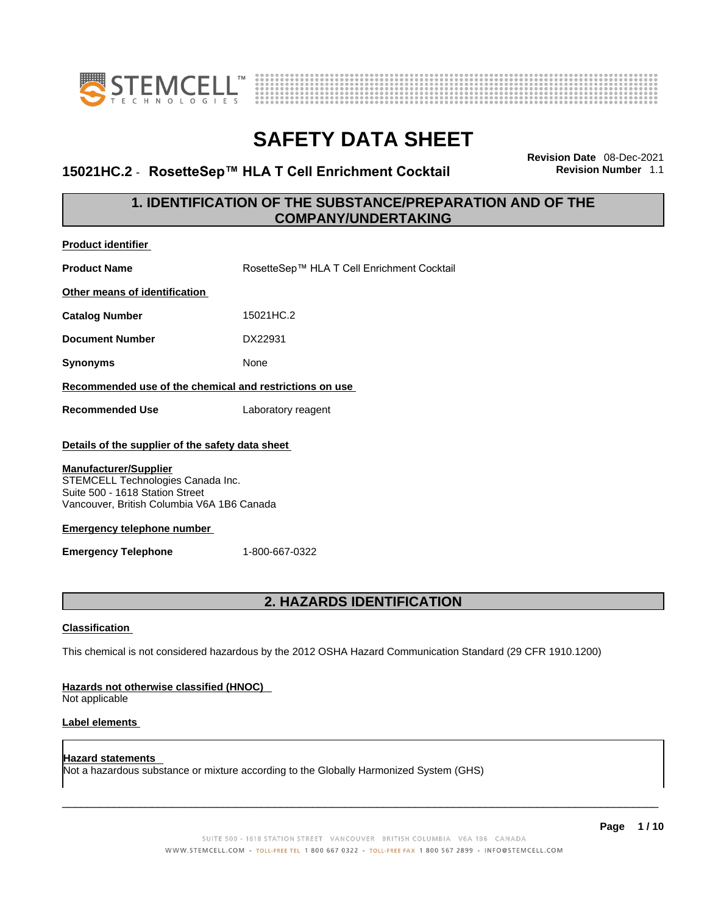



### **15021HC.2** - **RosetteSep™ HLA T Cell Enrichment Cocktail Revision Number** 1.1

**Revision Date** 08-Dec-2021

### **1. IDENTIFICATION OF THE SUBSTANCE/PREPARATION AND OF THE COMPANY/UNDERTAKING**

| <b>Product identifier</b>                                                                                                                                                                                                                                                                   |                                                                                                             |  |
|---------------------------------------------------------------------------------------------------------------------------------------------------------------------------------------------------------------------------------------------------------------------------------------------|-------------------------------------------------------------------------------------------------------------|--|
| <b>Product Name</b>                                                                                                                                                                                                                                                                         | RosetteSep™ HLA T Cell Enrichment Cocktail                                                                  |  |
| Other means of identification                                                                                                                                                                                                                                                               |                                                                                                             |  |
| <b>Catalog Number</b>                                                                                                                                                                                                                                                                       | 15021HC.2                                                                                                   |  |
| <b>Document Number</b>                                                                                                                                                                                                                                                                      | DX22931                                                                                                     |  |
| <b>Synonyms</b>                                                                                                                                                                                                                                                                             | None                                                                                                        |  |
| Recommended use of the chemical and restrictions on use                                                                                                                                                                                                                                     |                                                                                                             |  |
| <b>Recommended Use</b>                                                                                                                                                                                                                                                                      | Laboratory reagent                                                                                          |  |
| Details of the supplier of the safety data sheet<br><b>Manufacturer/Supplier</b><br>STEMCELL Technologies Canada Inc.<br>Suite 500 - 1618 Station Street<br>Vancouver, British Columbia V6A 1B6 Canada<br><b>Emergency telephone number</b><br>1-800-667-0322<br><b>Emergency Telephone</b> |                                                                                                             |  |
| 2. HAZARDS IDENTIFICATION                                                                                                                                                                                                                                                                   |                                                                                                             |  |
| <b>Classification</b>                                                                                                                                                                                                                                                                       |                                                                                                             |  |
|                                                                                                                                                                                                                                                                                             | This chemical is not considered hazardous by the 2012 OSHA Hazard Communication Standard (29 CFR 1910.1200) |  |
| Hazards not otherwise classified (HNOC)<br>Not applicable                                                                                                                                                                                                                                   |                                                                                                             |  |
| <b>Label elements</b>                                                                                                                                                                                                                                                                       |                                                                                                             |  |

**Hazard statements**  Not a hazardous substance or mixture according to the Globally Harmonized System (GHS)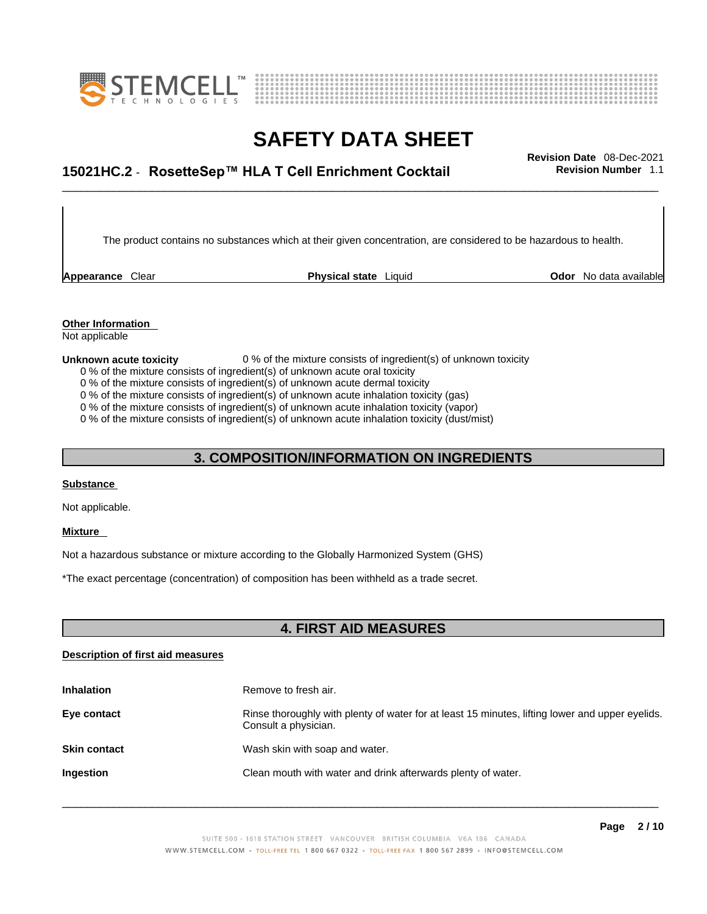



# \_\_\_\_\_\_\_\_\_\_\_\_\_\_\_\_\_\_\_\_\_\_\_\_\_\_\_\_\_\_\_\_\_\_\_\_\_\_\_\_\_\_\_\_\_\_\_\_\_\_\_\_\_\_\_\_\_\_\_\_\_\_\_\_\_\_\_\_\_\_\_\_\_\_\_\_\_\_\_\_\_\_\_\_\_\_\_\_\_\_\_\_\_ **Revision Date** 08-Dec-2021 **15021HC.2** - **RosetteSep™ HLA T Cell Enrichment Cocktail Revision Number** 1.1

The product contains no substances which at their given concentration, are considered to be hazardous to health.

**Appearance** Clear **Physical state** Liquid

**Odor** No data available

**Other Information**  Not applicable

#### **Unknown acute toxicity** 0 % of the mixture consists of ingredient(s) of unknown toxicity

0 % of the mixture consists of ingredient(s) of unknown acute oral toxicity

0 % of the mixture consists of ingredient(s) of unknown acute dermal toxicity

0 % of the mixture consists of ingredient(s) of unknown acute inhalation toxicity (gas)

0 % of the mixture consists of ingredient(s) of unknown acute inhalation toxicity (vapor)

0 % of the mixture consists of ingredient(s) of unknown acute inhalation toxicity (dust/mist)

#### **3. COMPOSITION/INFORMATION ON INGREDIENTS**

#### **Substance**

Not applicable.

#### **Mixture**

Not a hazardous substance or mixture according to the Globally Harmonized System (GHS)

\*The exact percentage (concentration) of composition has been withheld as a trade secret.

#### **4. FIRST AID MEASURES**

#### **Description of first aid measures**

| <b>Inhalation</b>   | Remove to fresh air.                                                                                                    |
|---------------------|-------------------------------------------------------------------------------------------------------------------------|
| Eye contact         | Rinse thoroughly with plenty of water for at least 15 minutes, lifting lower and upper eyelids.<br>Consult a physician. |
| <b>Skin contact</b> | Wash skin with soap and water.                                                                                          |
| Ingestion           | Clean mouth with water and drink afterwards plenty of water.                                                            |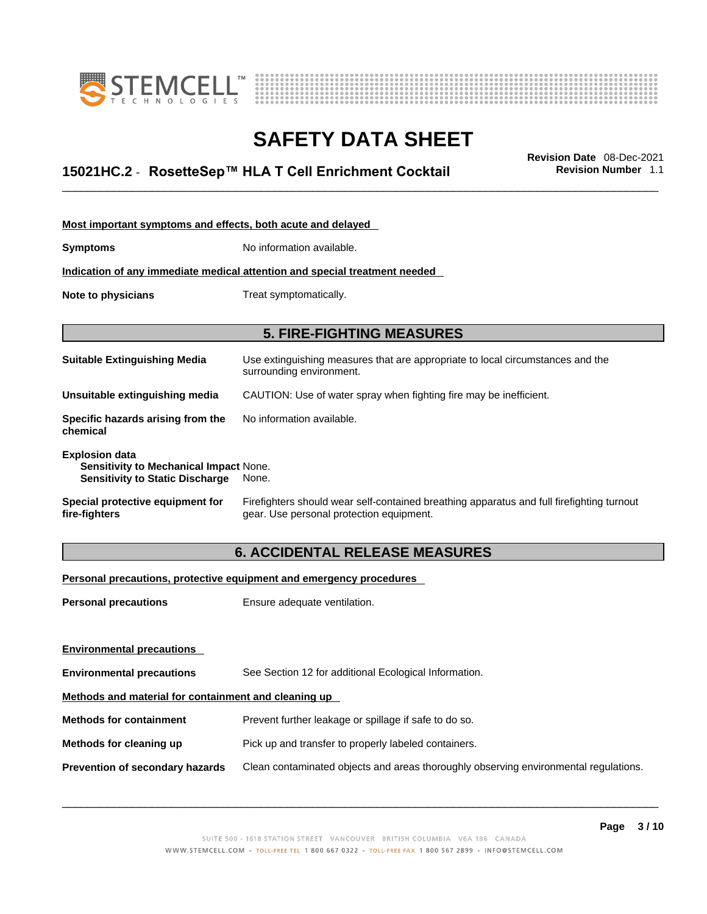



# \_\_\_\_\_\_\_\_\_\_\_\_\_\_\_\_\_\_\_\_\_\_\_\_\_\_\_\_\_\_\_\_\_\_\_\_\_\_\_\_\_\_\_\_\_\_\_\_\_\_\_\_\_\_\_\_\_\_\_\_\_\_\_\_\_\_\_\_\_\_\_\_\_\_\_\_\_\_\_\_\_\_\_\_\_\_\_\_\_\_\_\_\_ **Revision Date** 08-Dec-2021 **15021HC.2** - **RosetteSep™ HLA T Cell Enrichment Cocktail Revision Number** 1.1

| Most important symptoms and effects, both acute and delayed                                                      |                                                                                                                                       |
|------------------------------------------------------------------------------------------------------------------|---------------------------------------------------------------------------------------------------------------------------------------|
| <b>Symptoms</b>                                                                                                  | No information available.                                                                                                             |
|                                                                                                                  | Indication of any immediate medical attention and special treatment needed                                                            |
| Note to physicians                                                                                               | Treat symptomatically.                                                                                                                |
|                                                                                                                  |                                                                                                                                       |
|                                                                                                                  | <b>5. FIRE-FIGHTING MEASURES</b>                                                                                                      |
| <b>Suitable Extinguishing Media</b>                                                                              | Use extinguishing measures that are appropriate to local circumstances and the<br>surrounding environment.                            |
| Unsuitable extinguishing media                                                                                   | CAUTION: Use of water spray when fighting fire may be inefficient.                                                                    |
| Specific hazards arising from the<br>chemical                                                                    | No information available.                                                                                                             |
| <b>Explosion data</b><br><b>Sensitivity to Mechanical Impact None.</b><br><b>Sensitivity to Static Discharge</b> | None.                                                                                                                                 |
| Special protective equipment for<br>fire-fighters                                                                | Firefighters should wear self-contained breathing apparatus and full firefighting turnout<br>gear. Use personal protection equipment. |

### **6. ACCIDENTAL RELEASE MEASURES**

#### **Personal precautions, protective equipment and emergency procedures**

| <b>Personal precautions</b>                          | Ensure adequate ventilation.                                                         |  |
|------------------------------------------------------|--------------------------------------------------------------------------------------|--|
|                                                      |                                                                                      |  |
|                                                      |                                                                                      |  |
| <b>Environmental precautions</b>                     | See Section 12 for additional Ecological Information.                                |  |
| Methods and material for containment and cleaning up |                                                                                      |  |
| <b>Methods for containment</b>                       | Prevent further leakage or spillage if safe to do so.                                |  |
| Methods for cleaning up                              | Pick up and transfer to properly labeled containers.                                 |  |
| Prevention of secondary hazards                      | Clean contaminated objects and areas thoroughly observing environmental regulations. |  |
| <b>Environmental precautions</b>                     |                                                                                      |  |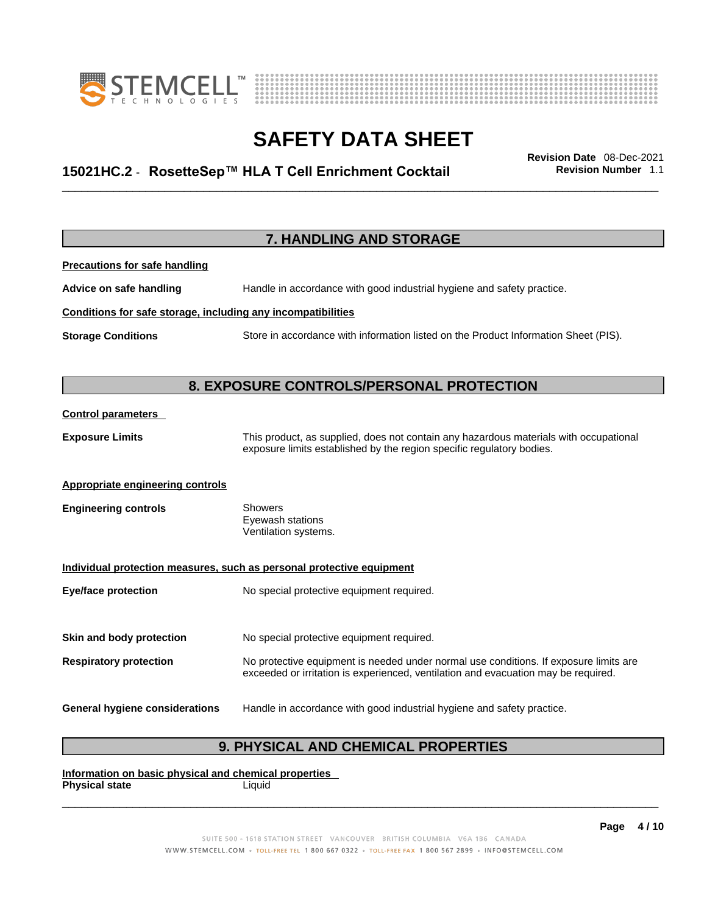



# \_\_\_\_\_\_\_\_\_\_\_\_\_\_\_\_\_\_\_\_\_\_\_\_\_\_\_\_\_\_\_\_\_\_\_\_\_\_\_\_\_\_\_\_\_\_\_\_\_\_\_\_\_\_\_\_\_\_\_\_\_\_\_\_\_\_\_\_\_\_\_\_\_\_\_\_\_\_\_\_\_\_\_\_\_\_\_\_\_\_\_\_\_ **Revision Date** 08-Dec-2021 **15021HC.2** - **RosetteSep™ HLA T Cell Enrichment Cocktail Revision Number** 1.1

|                                                              | 7. HANDLING AND STORAGE                                                                                                                                                     |
|--------------------------------------------------------------|-----------------------------------------------------------------------------------------------------------------------------------------------------------------------------|
| <b>Precautions for safe handling</b>                         |                                                                                                                                                                             |
| Advice on safe handling                                      | Handle in accordance with good industrial hygiene and safety practice.                                                                                                      |
| Conditions for safe storage, including any incompatibilities |                                                                                                                                                                             |
| <b>Storage Conditions</b>                                    | Store in accordance with information listed on the Product Information Sheet (PIS).                                                                                         |
|                                                              |                                                                                                                                                                             |
|                                                              | 8. EXPOSURE CONTROLS/PERSONAL PROTECTION                                                                                                                                    |
| <b>Control parameters</b>                                    |                                                                                                                                                                             |
| <b>Exposure Limits</b>                                       | This product, as supplied, does not contain any hazardous materials with occupational<br>exposure limits established by the region specific regulatory bodies.              |
| <b>Appropriate engineering controls</b>                      |                                                                                                                                                                             |
| <b>Engineering controls</b>                                  | <b>Showers</b><br>Eyewash stations<br>Ventilation systems.                                                                                                                  |
|                                                              | Individual protection measures, such as personal protective equipment                                                                                                       |
| <b>Eye/face protection</b>                                   | No special protective equipment required.                                                                                                                                   |
|                                                              |                                                                                                                                                                             |
| Skin and body protection                                     | No special protective equipment required.                                                                                                                                   |
| <b>Respiratory protection</b>                                | No protective equipment is needed under normal use conditions. If exposure limits are<br>exceeded or irritation is experienced, ventilation and evacuation may be required. |
| <b>General hygiene considerations</b>                        | Handle in accordance with good industrial hygiene and safety practice.                                                                                                      |

### **9. PHYSICAL AND CHEMICAL PROPERTIES**

**Information on basic physical and chemical properties Physical state** Liquid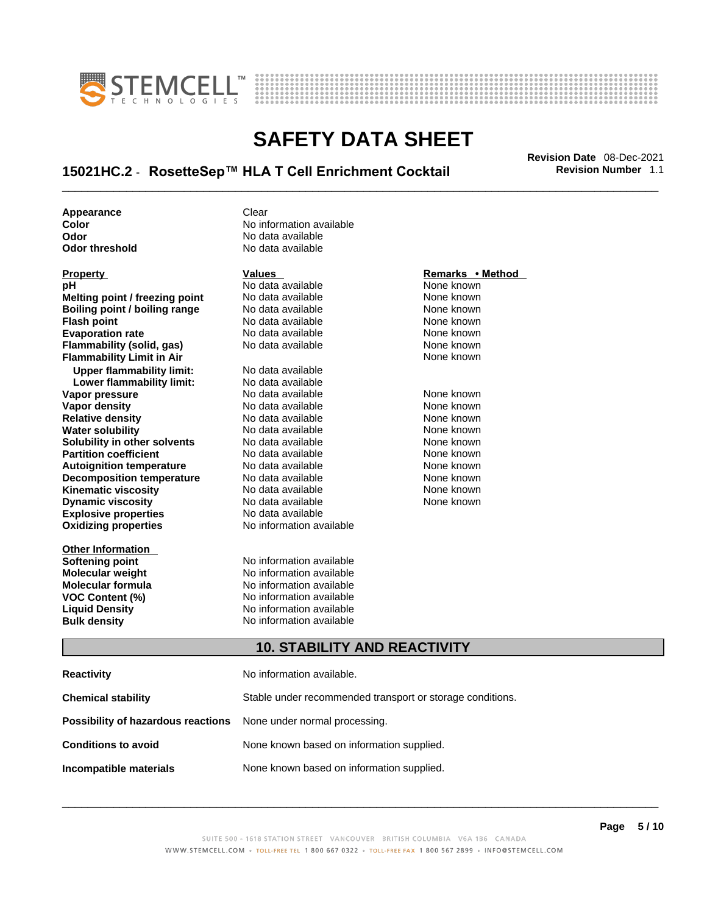



# \_\_\_\_\_\_\_\_\_\_\_\_\_\_\_\_\_\_\_\_\_\_\_\_\_\_\_\_\_\_\_\_\_\_\_\_\_\_\_\_\_\_\_\_\_\_\_\_\_\_\_\_\_\_\_\_\_\_\_\_\_\_\_\_\_\_\_\_\_\_\_\_\_\_\_\_\_\_\_\_\_\_\_\_\_\_\_\_\_\_\_\_\_ **Revision Date** 08-Dec-2021 **15021HC.2** - **RosetteSep™ HLA T Cell Enrichment Cocktail Revision Number** 1.1

**Appearance Clear** 

**Explosive properties**<br> **Oxidizing properties**<br> **Oxidizing properties**<br> **No information available Oxidizing properties Other Information Property Remarks • Remarks • Remarks • Remarks • Remarks • Remarks • Remarks • Method pH**<br> **No data available** Mome known<br> **No data available** Mome known<br>
None known **Melting point / freezing point** No data available<br> **Boiling point / boiling range** No data available **Boiling point / boiling range** No data available **None known**<br>
No data available **None known**<br>
None known **Evaporation rate Cone Cone Access Mone Cone Cone Cone Access Provident Cone Cone Access Provident Cone known**<br> **Flammability (solid. gas)** No data available Cone Cone Known **Flammability (solid, gas)** No data available None known **Flammability Limit in Air None known None known Upper flammability limit:** No data available **Lower flammability limit:** No data available **Vapor pressure** 1980 in the Modata available 1980 in the known None known<br> **Vapor density** 1980 in the None Known None known None known **Vapor density** No data available None known **Relative density Water solubility** No data available None known **Solubility in other solvents** No data available None known **Partition coefficient**<br> **Autoignition temperature**<br>
No data available None Known<br>
None known **Autoignition temperature** Mo data available Mone known<br> **Decomposition temperature** No data available None known **Decomposition temperature** No data available<br> **Kinematic viscosity** No data available **Kinematic viscosity No data available None known**<br> **Discussible No data available None known**<br>
None known **Dynamic viscosity No data available None known** 

**Color Color Color Color Color Color Color Color Color Color Color Color Color Color Color Color Color Color Color Color Color Color Color Color Color Color Color Color Odor No data available**<br> **Odor threshold No data available** No data available

**No data available** 

**Softening point**<br> **Molecular weight**<br> **Molecular weight**<br> **Molecular weight**<br> **Molecular weight No information available Molecular formula** No information available **VOC Content (%)**<br> **Content (%)**<br>
No information available<br>
No information available **No information available Bulk density No information available** 

#### **10. STABILITY AND REACTIVITY**

| Reactivity                                                              | No information available.                                 |
|-------------------------------------------------------------------------|-----------------------------------------------------------|
| Chemical stability                                                      | Stable under recommended transport or storage conditions. |
| <b>Possibility of hazardous reactions</b> None under normal processing. |                                                           |
| <b>Conditions to avoid</b>                                              | None known based on information supplied.                 |
| Incompatible materials                                                  | None known based on information supplied.                 |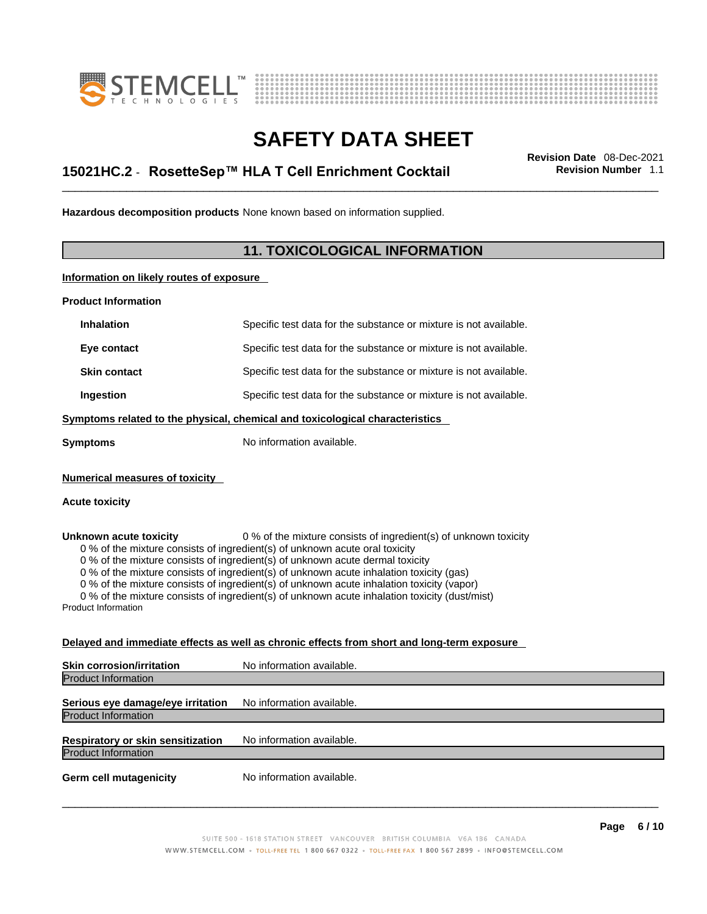



# \_\_\_\_\_\_\_\_\_\_\_\_\_\_\_\_\_\_\_\_\_\_\_\_\_\_\_\_\_\_\_\_\_\_\_\_\_\_\_\_\_\_\_\_\_\_\_\_\_\_\_\_\_\_\_\_\_\_\_\_\_\_\_\_\_\_\_\_\_\_\_\_\_\_\_\_\_\_\_\_\_\_\_\_\_\_\_\_\_\_\_\_\_ **Revision Date** 08-Dec-2021 **15021HC.2** - **RosetteSep™ HLA T Cell Enrichment Cocktail Revision Number** 1.1

**Hazardous decomposition products** None known based on information supplied.

#### **11. TOXICOLOGICAL INFORMATION**

**Information on likely routes of exposure**

**Product Information**

| <b>Inhalation</b>                                       | Specific test data for the substance or mixture is not available.                                                                               |
|---------------------------------------------------------|-------------------------------------------------------------------------------------------------------------------------------------------------|
| Eye contact                                             | Specific test data for the substance or mixture is not available.                                                                               |
| <b>Skin contact</b>                                     | Specific test data for the substance or mixture is not available.                                                                               |
| Ingestion                                               | Specific test data for the substance or mixture is not available.                                                                               |
|                                                         | Symptoms related to the physical, chemical and toxicological characteristics                                                                    |
| Symptoms                                                | No information available.                                                                                                                       |
| <b>Numerical measures of toxicity</b><br>Acute toxicity |                                                                                                                                                 |
| Unknown acute toxicity                                  | 0 % of the mixture consists of ingredient(s) of unknown toxicity<br>0 % of the mixture consists of ingredient(s) of unknown acute oral toxicity |

0 % of the mixture consists of ingredient(s) of unknown acute dermal toxicity

0 % of the mixture consists of ingredient(s) of unknown acute inhalation toxicity (gas)

0 % of the mixture consists of ingredient(s) of unknown acute inhalation toxicity (vapor)

0 % of the mixture consists of ingredient(s) of unknown acute inhalation toxicity (dust/mist)

Product Information

#### **Delayed and immediate effects as well as chronic effects from short and long-term exposure**

| <b>Skin corrosion/irritation</b>                                | No information available. |
|-----------------------------------------------------------------|---------------------------|
| <b>Product Information</b>                                      |                           |
| Serious eye damage/eye irritation<br><b>Product Information</b> | No information available. |
|                                                                 |                           |
| Respiratory or skin sensitization                               | No information available. |
| <b>Product Information</b>                                      |                           |
| <b>Germ cell mutagenicity</b>                                   | No information available. |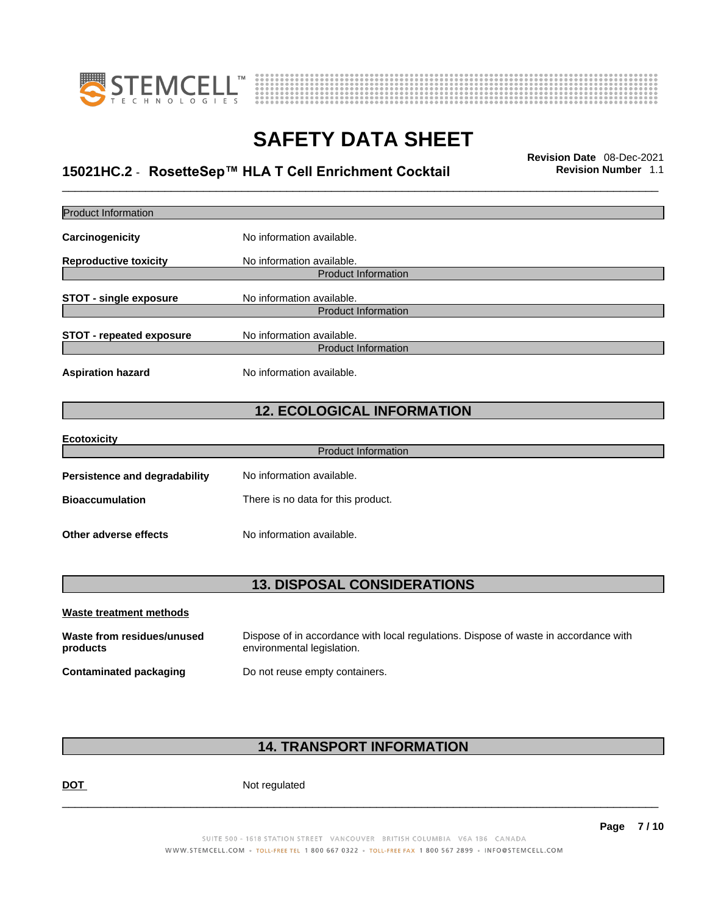



# \_\_\_\_\_\_\_\_\_\_\_\_\_\_\_\_\_\_\_\_\_\_\_\_\_\_\_\_\_\_\_\_\_\_\_\_\_\_\_\_\_\_\_\_\_\_\_\_\_\_\_\_\_\_\_\_\_\_\_\_\_\_\_\_\_\_\_\_\_\_\_\_\_\_\_\_\_\_\_\_\_\_\_\_\_\_\_\_\_\_\_\_\_ **Revision Date** 08-Dec-2021 **15021HC.2** - **RosetteSep™ HLA T Cell Enrichment Cocktail Revision Number** 1.1

| <b>Product Information</b>             |                                                                                                                    |
|----------------------------------------|--------------------------------------------------------------------------------------------------------------------|
| Carcinogenicity                        | No information available.                                                                                          |
| <b>Reproductive toxicity</b>           | No information available.<br><b>Product Information</b>                                                            |
| <b>STOT - single exposure</b>          | No information available.<br><b>Product Information</b>                                                            |
| <b>STOT - repeated exposure</b>        | No information available.<br><b>Product Information</b>                                                            |
| <b>Aspiration hazard</b>               | No information available.                                                                                          |
|                                        | <b>12. ECOLOGICAL INFORMATION</b>                                                                                  |
| <b>Ecotoxicity</b>                     | <b>Product Information</b>                                                                                         |
|                                        |                                                                                                                    |
| <b>Persistence and degradability</b>   | No information available.                                                                                          |
| <b>Bioaccumulation</b>                 | There is no data for this product.                                                                                 |
| Other adverse effects                  | No information available.                                                                                          |
|                                        | <b>13. DISPOSAL CONSIDERATIONS</b>                                                                                 |
| <b>Waste treatment methods</b>         |                                                                                                                    |
| Waste from residues/unused<br>products | Dispose of in accordance with local regulations. Dispose of waste in accordance with<br>environmental legislation. |
| <b>Contaminated packaging</b>          | Do not reuse empty containers.                                                                                     |
|                                        |                                                                                                                    |

### **14. TRANSPORT INFORMATION**

DOT Not regulated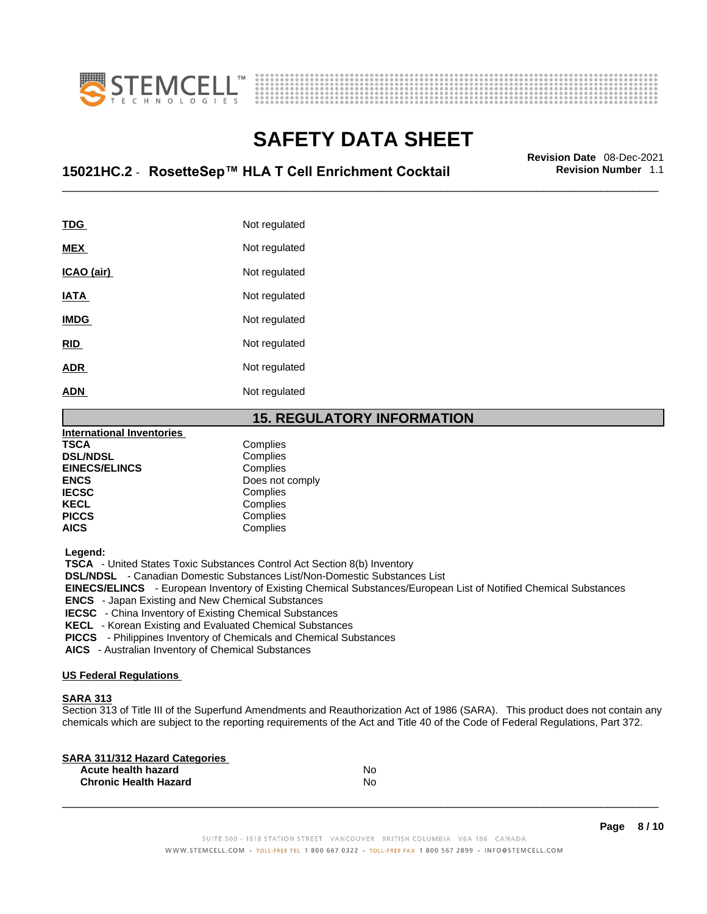



# \_\_\_\_\_\_\_\_\_\_\_\_\_\_\_\_\_\_\_\_\_\_\_\_\_\_\_\_\_\_\_\_\_\_\_\_\_\_\_\_\_\_\_\_\_\_\_\_\_\_\_\_\_\_\_\_\_\_\_\_\_\_\_\_\_\_\_\_\_\_\_\_\_\_\_\_\_\_\_\_\_\_\_\_\_\_\_\_\_\_\_\_\_ **Revision Date** 08-Dec-2021 **15021HC.2** - **RosetteSep™ HLA T Cell Enrichment Cocktail Revision Number** 1.1

| TDG         | Not regulated |
|-------------|---------------|
| <b>MEX</b>  | Not regulated |
| ICAO (air)  | Not regulated |
| <b>IATA</b> | Not regulated |
| <b>IMDG</b> | Not regulated |
| <b>RID</b>  | Not regulated |
| <b>ADR</b>  | Not regulated |
| <b>ADN</b>  | Not regulated |
|             |               |

#### **15. REGULATORY INFORMATION**

| <b>International Inventories</b> |                 |
|----------------------------------|-----------------|
| <b>TSCA</b>                      | Complies        |
| <b>DSL/NDSL</b>                  | Complies        |
| <b>EINECS/ELINCS</b>             | Complies        |
| <b>ENCS</b>                      | Does not comply |
| <b>IECSC</b>                     | Complies        |
| <b>KECL</b>                      | Complies        |
| <b>PICCS</b>                     | Complies        |
| <b>AICS</b>                      | Complies        |

 **Legend:** 

 **TSCA** - United States Toxic Substances Control Act Section 8(b) Inventory

 **DSL/NDSL** - Canadian Domestic Substances List/Non-Domestic Substances List

 **EINECS/ELINCS** - European Inventory of Existing Chemical Substances/European List of Notified Chemical Substances

 **ENCS** - Japan Existing and New Chemical Substances

 **IECSC** - China Inventory of Existing Chemical Substances

 **KECL** - Korean Existing and Evaluated Chemical Substances

 **PICCS** - Philippines Inventory of Chemicals and Chemical Substances

 **AICS** - Australian Inventory of Chemical Substances

#### **US Federal Regulations**

#### **SARA 313**

Section 313 of Title III of the Superfund Amendments and Reauthorization Act of 1986 (SARA). This product does not contain any chemicals which are subject to the reporting requirements of the Act and Title 40 of the Code of Federal Regulations, Part 372.

| No |  |
|----|--|
| No |  |
|    |  |

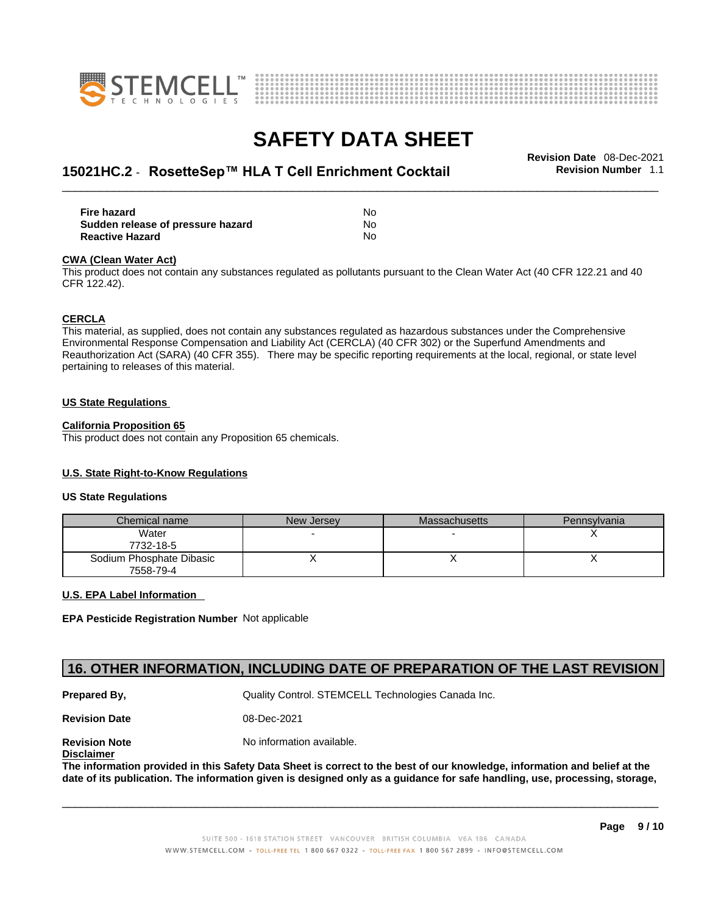



# \_\_\_\_\_\_\_\_\_\_\_\_\_\_\_\_\_\_\_\_\_\_\_\_\_\_\_\_\_\_\_\_\_\_\_\_\_\_\_\_\_\_\_\_\_\_\_\_\_\_\_\_\_\_\_\_\_\_\_\_\_\_\_\_\_\_\_\_\_\_\_\_\_\_\_\_\_\_\_\_\_\_\_\_\_\_\_\_\_\_\_\_\_ **Revision Date** 08-Dec-2021 **15021HC.2** - **RosetteSep™ HLA T Cell Enrichment Cocktail Revision Number** 1.1

| <b>Fire hazard</b>                | No  |
|-----------------------------------|-----|
| Sudden release of pressure hazard | No  |
| <b>Reactive Hazard</b>            | No. |

#### **CWA** (Clean Water Act)

This product does not contain any substances regulated as pollutants pursuant to the Clean Water Act (40 CFR 122.21 and 40 CFR 122.42).

#### **CERCLA**

This material, as supplied, does not contain any substances regulated as hazardous substances under the Comprehensive Environmental Response Compensation and Liability Act (CERCLA) (40 CFR 302) or the Superfund Amendments and Reauthorization Act (SARA) (40 CFR 355). There may be specific reporting requirements at the local, regional, or state level pertaining to releases of this material.

#### **US State Regulations**

#### **California Proposition 65**

This product does not contain any Proposition 65 chemicals.

#### **U.S. State Right-to-Know Regulations**

#### **US State Regulations**

| Chemical name                         | New Jersey | Massachusetts | Pennsylvania |
|---------------------------------------|------------|---------------|--------------|
| Water<br>7732-18-5                    |            |               |              |
| Sodium Phosphate Dibasic<br>7558-79-4 |            |               |              |

#### **U.S. EPA Label Information**

**EPA Pesticide Registration Number** Not applicable

### **16. OTHER INFORMATION, INCLUDING DATE OF PREPARATION OF THE LAST REVISION**

**Prepared By, State Control. STEMCELL Technologies Canada Inc.** Cuality Control. STEMCELL Technologies Canada Inc.

**Revision Date** 08-Dec-2021

**Disclaimer**

**Revision Note** Noinformation available.

The information provided in this Safety Data Sheet is correct to the best of our knowledge, information and belief at the date of its publication. The information given is designed only as a guidance for safe handling, use, processing, storage,